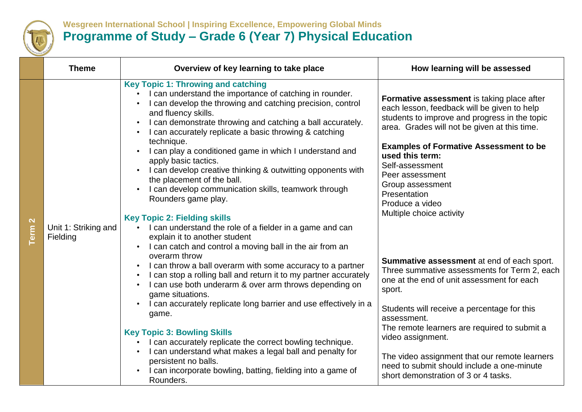

## **Wesgreen International School | Inspiring Excellence, Empowering Global Minds Programme of Study – Grade 6 (Year 7) Physical Education**

|                                  | <b>Theme</b>                     | Overview of key learning to take place                                                                                                                                                                                                                                                                                                                                                                                                                                                                                                                                                                                                                                                                                                                                                         | How learning will be assessed                                                                                                                                                                                                                                                                                                                                                           |
|----------------------------------|----------------------------------|------------------------------------------------------------------------------------------------------------------------------------------------------------------------------------------------------------------------------------------------------------------------------------------------------------------------------------------------------------------------------------------------------------------------------------------------------------------------------------------------------------------------------------------------------------------------------------------------------------------------------------------------------------------------------------------------------------------------------------------------------------------------------------------------|-----------------------------------------------------------------------------------------------------------------------------------------------------------------------------------------------------------------------------------------------------------------------------------------------------------------------------------------------------------------------------------------|
| $\mathbf{\Omega}$<br><b>Term</b> | Unit 1: Striking and<br>Fielding | <b>Key Topic 1: Throwing and catching</b><br>I can understand the importance of catching in rounder.<br>I can develop the throwing and catching precision, control<br>and fluency skills.<br>I can demonstrate throwing and catching a ball accurately.<br>I can accurately replicate a basic throwing & catching<br>technique.<br>I can play a conditioned game in which I understand and<br>apply basic tactics.<br>I can develop creative thinking & outwitting opponents with<br>the placement of the ball.<br>I can develop communication skills, teamwork through<br>Rounders game play.<br><b>Key Topic 2: Fielding skills</b><br>I can understand the role of a fielder in a game and can<br>explain it to another student<br>I can catch and control a moving ball in the air from an | Formative assessment is taking place after<br>each lesson, feedback will be given to help<br>students to improve and progress in the topic<br>area. Grades will not be given at this time.<br><b>Examples of Formative Assessment to be</b><br>used this term:<br>Self-assessment<br>Peer assessment<br>Group assessment<br>Presentation<br>Produce a video<br>Multiple choice activity |
|                                  |                                  | overarm throw<br>I can throw a ball overarm with some accuracy to a partner<br>I can stop a rolling ball and return it to my partner accurately<br>I can use both underarm & over arm throws depending on<br>game situations.<br>I can accurately replicate long barrier and use effectively in a<br>game.                                                                                                                                                                                                                                                                                                                                                                                                                                                                                     | Summative assessment at end of each sport.<br>Three summative assessments for Term 2, each<br>one at the end of unit assessment for each<br>sport.<br>Students will receive a percentage for this<br>assessment.                                                                                                                                                                        |
|                                  |                                  | <b>Key Topic 3: Bowling Skills</b><br>I can accurately replicate the correct bowling technique.<br>I can understand what makes a legal ball and penalty for<br>persistent no balls.<br>I can incorporate bowling, batting, fielding into a game of<br>Rounders.                                                                                                                                                                                                                                                                                                                                                                                                                                                                                                                                | The remote learners are required to submit a<br>video assignment.<br>The video assignment that our remote learners<br>need to submit should include a one-minute<br>short demonstration of 3 or 4 tasks.                                                                                                                                                                                |